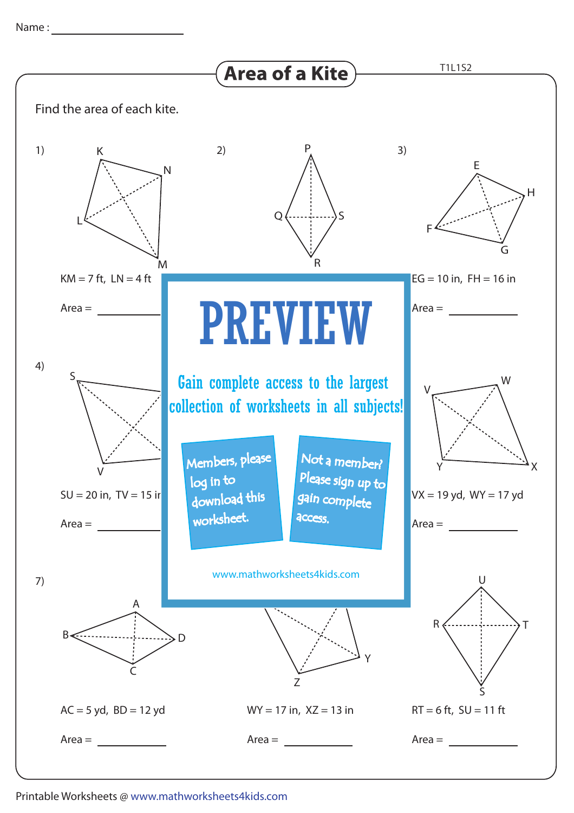